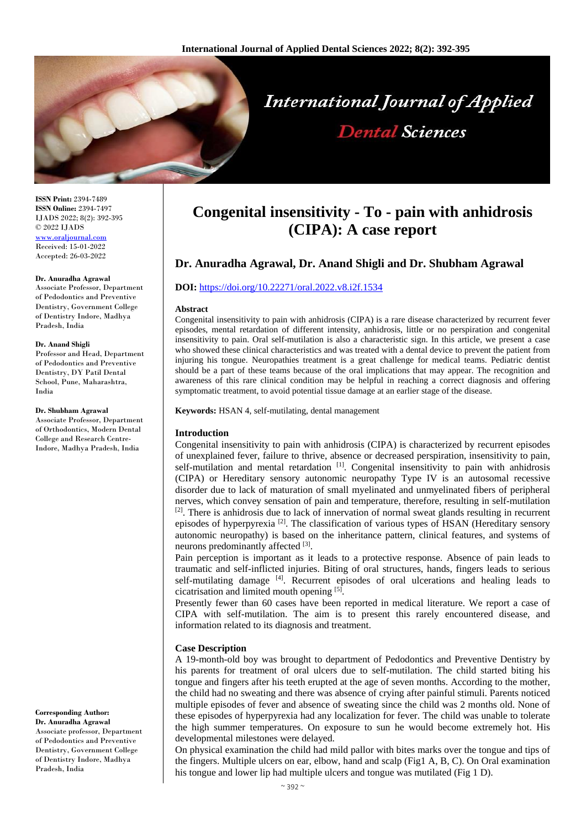

**ISSN Print:** 2394-7489 **ISSN Online:** 2394-7497 IJADS 2022; 8(2): 392-395 © 2022 IJADS [www.oraljournal.com](http://www.oraljournal.com/) Received: 15-01-2022 Accepted: 26-03-2022

#### **Dr. Anuradha Agrawal**

Associate Professor, Department of Pedodontics and Preventive Dentistry, Government College of Dentistry Indore, Madhya Pradesh, India

#### **Dr. Anand Shigli**

Professor and Head, Department of Pedodontics and Preventive Dentistry, DY Patil Dental School, Pune, Maharashtra, India

#### **Dr. Shubham Agrawal**

Associate Professor, Department of Orthodontics, Modern Dental College and Research Centre-Indore, Madhya Pradesh, India

**Corresponding Author:**

**Dr. Anuradha Agrawal** Associate professor, Department of Pedodontics and Preventive Dentistry, Government College of Dentistry Indore, Madhya Pradesh, India

# **Congenital insensitivity - To - pain with anhidrosis (CIPA): A case report**

## **Dr. Anuradha Agrawal, Dr. Anand Shigli and Dr. Shubham Agrawal**

### **DOI:** <https://doi.org/10.22271/oral.2022.v8.i2f.1534>

#### **Abstract**

Congenital insensitivity to pain with anhidrosis (CIPA) is a rare disease characterized by recurrent fever episodes, mental retardation of different intensity, anhidrosis, little or no perspiration and congenital insensitivity to pain. Oral self-mutilation is also a characteristic sign. In this article, we present a case who showed these clinical characteristics and was treated with a dental device to prevent the patient from injuring his tongue. Neuropathies treatment is a great challenge for medical teams. Pediatric dentist should be a part of these teams because of the oral implications that may appear. The recognition and awareness of this rare clinical condition may be helpful in reaching a correct diagnosis and offering symptomatic treatment, to avoid potential tissue damage at an earlier stage of the disease.

**Keywords:** HSAN 4, self-mutilating, dental management

#### **Introduction**

Congenital insensitivity to pain with anhidrosis (CIPA) is characterized by recurrent episodes of unexplained fever, failure to thrive, absence or decreased perspiration, insensitivity to pain, self-mutilation and mental retardation [1]. Congenital insensitivity to pain with anhidrosis (CIPA) or Hereditary sensory autonomic neuropathy Type IV is an autosomal recessive disorder due to lack of maturation of small myelinated and unmyelinated fibers of peripheral nerves, which convey sensation of pain and temperature, therefore, resulting in self-mutilation <sup>[2]</sup>. There is anhidrosis due to lack of innervation of normal sweat glands resulting in recurrent episodes of hyperpyrexia<sup>[2]</sup>. The classification of various types of HSAN (Hereditary sensory autonomic neuropathy) is based on the inheritance pattern, clinical features, and systems of neurons predominantly affected [3].

Pain perception is important as it leads to a protective response. Absence of pain leads to traumatic and self-inflicted injuries. Biting of oral structures, hands, fingers leads to serious self-mutilating damage [4]. Recurrent episodes of oral ulcerations and healing leads to cicatrisation and limited mouth opening [5] .

Presently fewer than 60 cases have been reported in medical literature. We report a case of CIPA with self-mutilation. The aim is to present this rarely encountered disease, and information related to its diagnosis and treatment.

## **Case Description**

A 19-month-old boy was brought to department of Pedodontics and Preventive Dentistry by his parents for treatment of oral ulcers due to self-mutilation. The child started biting his tongue and fingers after his teeth erupted at the age of seven months. According to the mother, the child had no sweating and there was absence of crying after painful stimuli. Parents noticed multiple episodes of fever and absence of sweating since the child was 2 months old. None of these episodes of hyperpyrexia had any localization for fever. The child was unable to tolerate the high summer temperatures. On exposure to sun he would become extremely hot. His developmental milestones were delayed.

On physical examination the child had mild pallor with bites marks over the tongue and tips of the fingers. Multiple ulcers on ear, elbow, hand and scalp (Fig1 A, B, C). On Oral examination his tongue and lower lip had multiple ulcers and tongue was mutilated (Fig 1 D).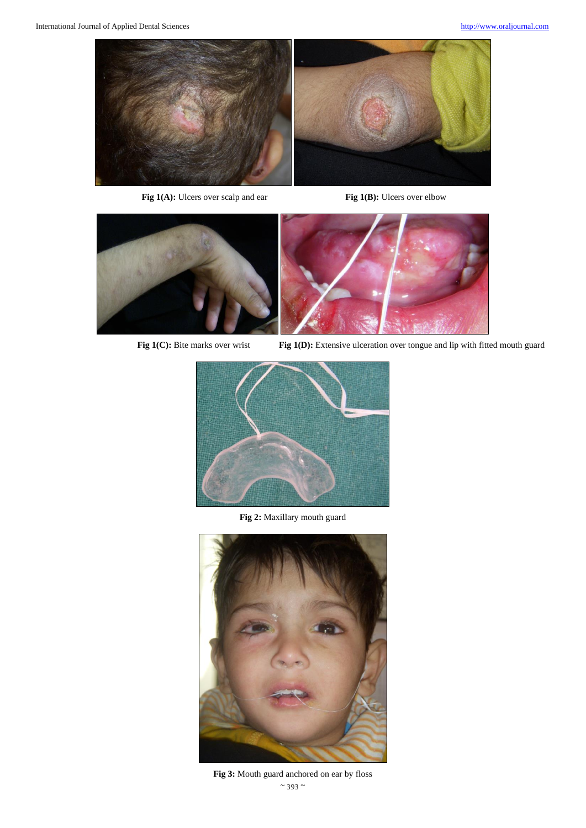

**Fig 1(A):** Ulcers over scalp and ear **Fig 1(B):** Ulcers over elbow



**Fig 1(C):** Bite marks over wrist **Fig 1(D):** Extensive ulceration over tongue and lip with fitted mouth guard



**Fig 2:** Maxillary mouth guard



 $\sim$  393  $\sim$ **Fig 3:** Mouth guard anchored on ear by floss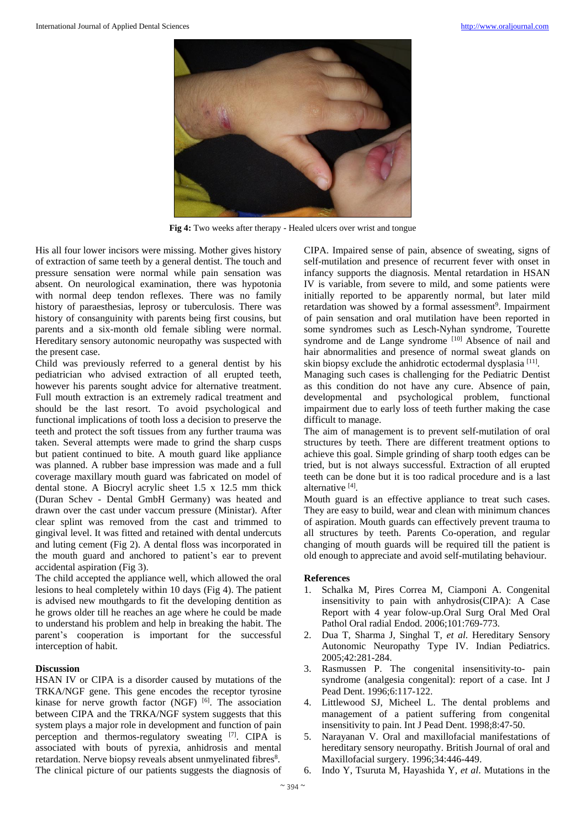

**Fig 4:** Two weeks after therapy - Healed ulcers over wrist and tongue

His all four lower incisors were missing. Mother gives history of extraction of same teeth by a general dentist. The touch and pressure sensation were normal while pain sensation was absent. On neurological examination, there was hypotonia with normal deep tendon reflexes. There was no family history of paraesthesias, leprosy or tuberculosis. There was history of consanguinity with parents being first cousins, but parents and a six-month old female sibling were normal. Hereditary sensory autonomic neuropathy was suspected with the present case.

Child was previously referred to a general dentist by his pediatrician who advised extraction of all erupted teeth, however his parents sought advice for alternative treatment. Full mouth extraction is an extremely radical treatment and should be the last resort. To avoid psychological and functional implications of tooth loss a decision to preserve the teeth and protect the soft tissues from any further trauma was taken. Several attempts were made to grind the sharp cusps but patient continued to bite. A mouth guard like appliance was planned. A rubber base impression was made and a full coverage maxillary mouth guard was fabricated on model of dental stone. A Biocryl acrylic sheet 1.5 x 12.5 mm thick (Duran Schev - Dental GmbH Germany) was heated and drawn over the cast under vaccum pressure (Ministar). After clear splint was removed from the cast and trimmed to gingival level. It was fitted and retained with dental undercuts and luting cement (Fig 2). A dental floss was incorporated in the mouth guard and anchored to patient's ear to prevent accidental aspiration (Fig 3).

The child accepted the appliance well, which allowed the oral lesions to heal completely within 10 days (Fig 4). The patient is advised new mouthgards to fit the developing dentition as he grows older till he reaches an age where he could be made to understand his problem and help in breaking the habit. The parent's cooperation is important for the successful interception of habit.

## **Discussion**

HSAN IV or CIPA is a disorder caused by mutations of the TRKA/NGF gene. This gene encodes the receptor tyrosine kinase for nerve growth factor (NGF) <sup>[6]</sup>. The association between CIPA and the TRKA/NGF system suggests that this system plays a major role in development and function of pain perception and thermos-regulatory sweating [7]. CIPA is associated with bouts of pyrexia, anhidrosis and mental retardation. Nerve biopsy reveals absent unmyelinated fibres<sup>8</sup>. The clinical picture of our patients suggests the diagnosis of

CIPA. Impaired sense of pain, absence of sweating, signs of self-mutilation and presence of recurrent fever with onset in infancy supports the diagnosis. Mental retardation in HSAN IV is variable, from severe to mild, and some patients were initially reported to be apparently normal, but later mild retardation was showed by a formal assessment<sup>9</sup>. Impairment of pain sensation and oral mutilation have been reported in some syndromes such as Lesch-Nyhan syndrome, Tourette syndrome and de Lange syndrome [10] Absence of nail and hair abnormalities and presence of normal sweat glands on skin biopsy exclude the anhidrotic ectodermal dysplasia<sup>[11]</sup>.

Managing such cases is challenging for the Pediatric Dentist as this condition do not have any cure. Absence of pain, developmental and psychological problem, functional impairment due to early loss of teeth further making the case difficult to manage.

The aim of management is to prevent self-mutilation of oral structures by teeth. There are different treatment options to achieve this goal. Simple grinding of sharp tooth edges can be tried, but is not always successful. Extraction of all erupted teeth can be done but it is too radical procedure and is a last alternative [4] .

Mouth guard is an effective appliance to treat such cases. They are easy to build, wear and clean with minimum chances of aspiration. Mouth guards can effectively prevent trauma to all structures by teeth. Parents Co-operation, and regular changing of mouth guards will be required till the patient is old enough to appreciate and avoid self-mutilating behaviour.

## **References**

- 1. Schalka M, Pires Correa M, Ciamponi A. Congenital insensitivity to pain with anhydrosis(CIPA): A Case Report with 4 year folow-up.Oral Surg Oral Med Oral Pathol Oral radial Endod. 2006;101:769-773.
- 2. Dua T, Sharma J, Singhal T, *et al*. Hereditary Sensory Autonomic Neuropathy Type IV. Indian Pediatrics. 2005;42:281-284.
- 3. Rasmussen P. The congenital insensitivity-to- pain syndrome (analgesia congenital): report of a case. Int J Pead Dent. 1996;6:117-122.
- 4. Littlewood SJ, Micheel L. The dental problems and management of a patient suffering from congenital insensitivity to pain. Int J Pead Dent. 1998;8:47-50.
- 5. Narayanan V. Oral and maxillofacial manifestations of hereditary sensory neuropathy. British Journal of oral and Maxillofacial surgery. 1996;34:446-449.
- 6. Indo Y, Tsuruta M, Hayashida Y, *et al*. Mutations in the